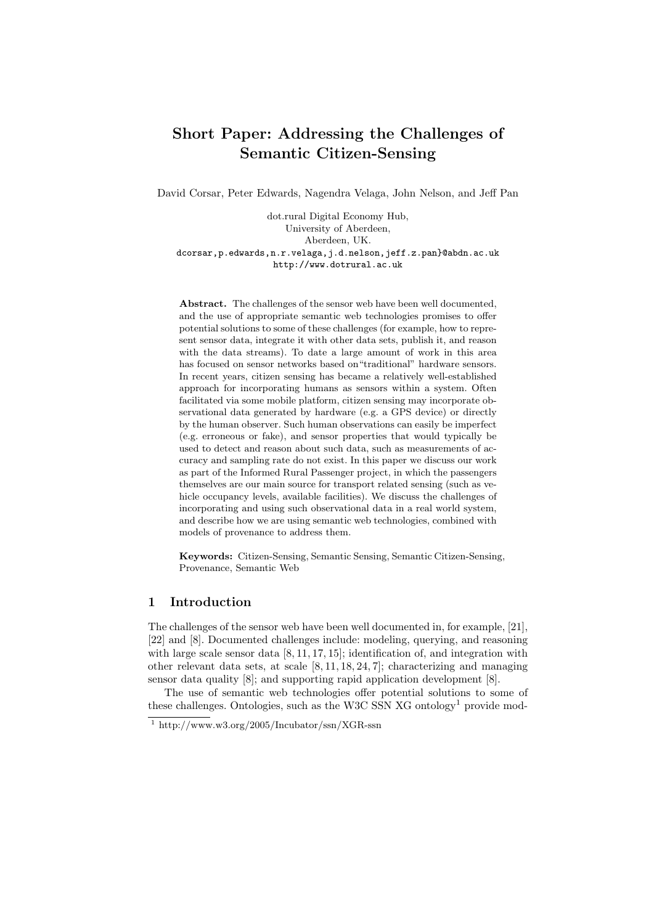# Short Paper: Addressing the Challenges of Semantic Citizen-Sensing

David Corsar, Peter Edwards, Nagendra Velaga, John Nelson, and Jeff Pan

dot.rural Digital Economy Hub, University of Aberdeen, Aberdeen, UK. dcorsar,p.edwards,n.r.velaga,j.d.nelson,jeff.z.pan}@abdn.ac.uk http://www.dotrural.ac.uk

Abstract. The challenges of the sensor web have been well documented, and the use of appropriate semantic web technologies promises to offer potential solutions to some of these challenges (for example, how to represent sensor data, integrate it with other data sets, publish it, and reason with the data streams). To date a large amount of work in this area has focused on sensor networks based on"traditional" hardware sensors. In recent years, citizen sensing has became a relatively well-established approach for incorporating humans as sensors within a system. Often facilitated via some mobile platform, citizen sensing may incorporate observational data generated by hardware (e.g. a GPS device) or directly by the human observer. Such human observations can easily be imperfect (e.g. erroneous or fake), and sensor properties that would typically be used to detect and reason about such data, such as measurements of accuracy and sampling rate do not exist. In this paper we discuss our work as part of the Informed Rural Passenger project, in which the passengers themselves are our main source for transport related sensing (such as vehicle occupancy levels, available facilities). We discuss the challenges of incorporating and using such observational data in a real world system, and describe how we are using semantic web technologies, combined with models of provenance to address them.

Keywords: Citizen-Sensing, Semantic Sensing, Semantic Citizen-Sensing, Provenance, Semantic Web

### 1 Introduction

The challenges of the sensor web have been well documented in, for example, [21], [22] and [8]. Documented challenges include: modeling, querying, and reasoning with large scale sensor data [8, 11, 17, 15]; identification of, and integration with other relevant data sets, at scale [8, 11, 18, 24, 7]; characterizing and managing sensor data quality [8]; and supporting rapid application development [8].

The use of semantic web technologies offer potential solutions to some of these challenges. Ontologies, such as the W3C SSN  $\mathrm{X}$ G ontology<sup>1</sup> provide mod-

<sup>1</sup> http://www.w3.org/2005/Incubator/ssn/XGR-ssn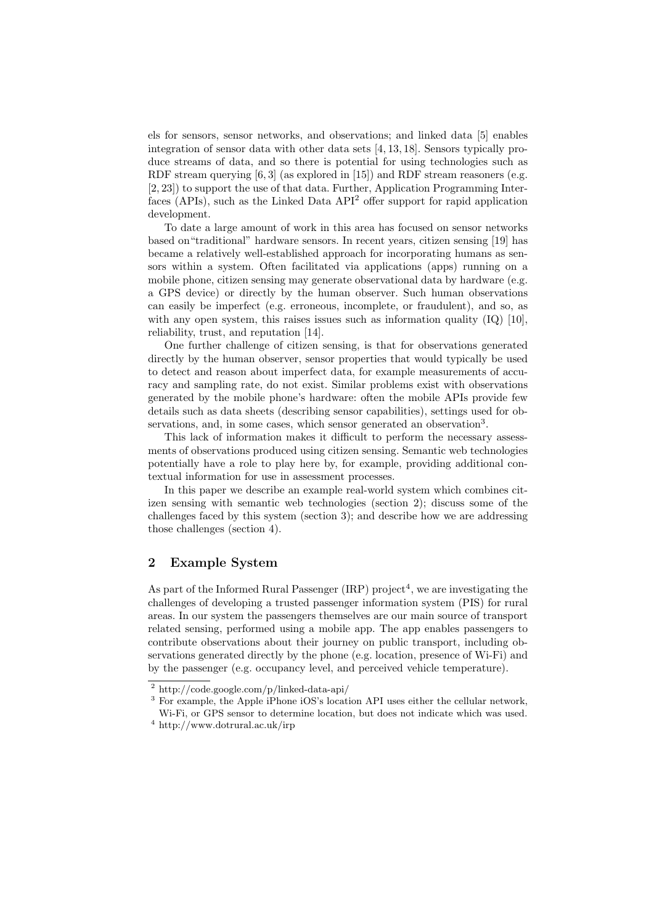els for sensors, sensor networks, and observations; and linked data [5] enables integration of sensor data with other data sets [4, 13, 18]. Sensors typically produce streams of data, and so there is potential for using technologies such as RDF stream querying [6, 3] (as explored in [15]) and RDF stream reasoners (e.g. [2, 23]) to support the use of that data. Further, Application Programming Interfaces  $(APIs)$ , such as the Linked Data  $API<sup>2</sup>$  offer support for rapid application development.

To date a large amount of work in this area has focused on sensor networks based on"traditional" hardware sensors. In recent years, citizen sensing [19] has became a relatively well-established approach for incorporating humans as sensors within a system. Often facilitated via applications (apps) running on a mobile phone, citizen sensing may generate observational data by hardware (e.g. a GPS device) or directly by the human observer. Such human observations can easily be imperfect (e.g. erroneous, incomplete, or fraudulent), and so, as with any open system, this raises issues such as information quality  $(IQ)$  [10], reliability, trust, and reputation [14].

One further challenge of citizen sensing, is that for observations generated directly by the human observer, sensor properties that would typically be used to detect and reason about imperfect data, for example measurements of accuracy and sampling rate, do not exist. Similar problems exist with observations generated by the mobile phone's hardware: often the mobile APIs provide few details such as data sheets (describing sensor capabilities), settings used for observations, and, in some cases, which sensor generated an observation<sup>3</sup>.

This lack of information makes it difficult to perform the necessary assessments of observations produced using citizen sensing. Semantic web technologies potentially have a role to play here by, for example, providing additional contextual information for use in assessment processes.

In this paper we describe an example real-world system which combines citizen sensing with semantic web technologies (section 2); discuss some of the challenges faced by this system (section 3); and describe how we are addressing those challenges (section 4).

# 2 Example System

As part of the Informed Rural Passenger  $(IRP)$  project<sup>4</sup>, we are investigating the challenges of developing a trusted passenger information system (PIS) for rural areas. In our system the passengers themselves are our main source of transport related sensing, performed using a mobile app. The app enables passengers to contribute observations about their journey on public transport, including observations generated directly by the phone (e.g. location, presence of Wi-Fi) and by the passenger (e.g. occupancy level, and perceived vehicle temperature).

<sup>3</sup> For example, the Apple iPhone iOS's location API uses either the cellular network, Wi-Fi, or GPS sensor to determine location, but does not indicate which was used.

<sup>2</sup> http://code.google.com/p/linked-data-api/

 $^4$ http://www.dotrural.ac.uk/irp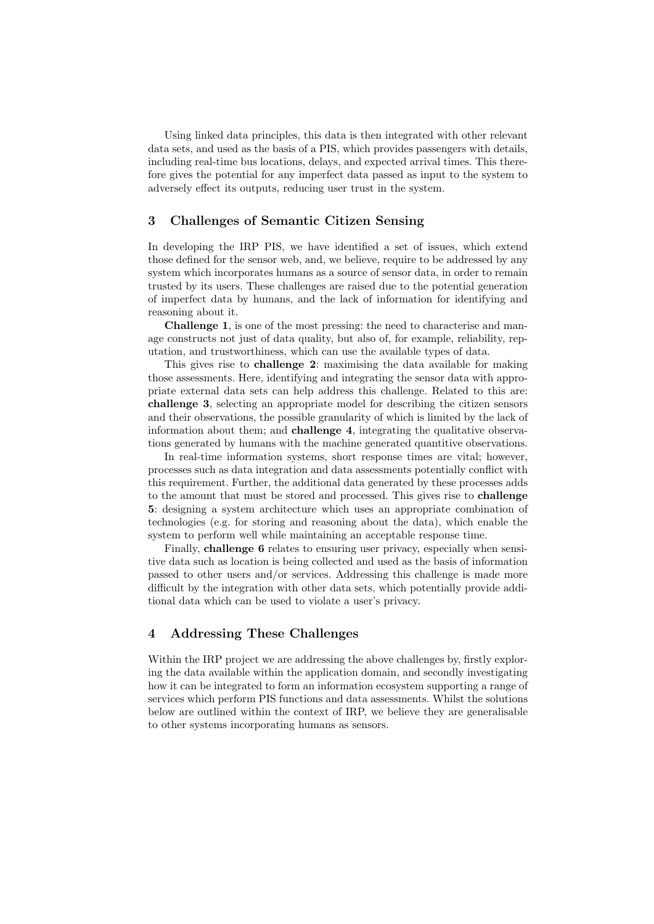Using linked data principles, this data is then integrated with other relevant data sets, and used as the basis of a PIS, which provides passengers with details, including real-time bus locations, delays, and expected arrival times. This therefore gives the potential for any imperfect data passed as input to the system to adversely effect its outputs, reducing user trust in the system.

## 3 Challenges of Semantic Citizen Sensing

In developing the IRP PIS, we have identified a set of issues, which extend those defined for the sensor web, and, we believe, require to be addressed by any system which incorporates humans as a source of sensor data, in order to remain trusted by its users. These challenges are raised due to the potential generation of imperfect data by humans, and the lack of information for identifying and reasoning about it.

Challenge 1, is one of the most pressing: the need to characterise and manage constructs not just of data quality, but also of, for example, reliability, reputation, and trustworthiness, which can use the available types of data.

This gives rise to challenge 2: maximising the data available for making those assessments. Here, identifying and integrating the sensor data with appropriate external data sets can help address this challenge. Related to this are: challenge 3, selecting an appropriate model for describing the citizen sensors and their observations, the possible granularity of which is limited by the lack of information about them; and challenge 4, integrating the qualitative observations generated by humans with the machine generated quantitive observations.

In real-time information systems, short response times are vital; however, processes such as data integration and data assessments potentially conflict with this requirement. Further, the additional data generated by these processes adds to the amount that must be stored and processed. This gives rise to challenge 5: designing a system architecture which uses an appropriate combination of technologies (e.g. for storing and reasoning about the data), which enable the system to perform well while maintaining an acceptable response time.

Finally, challenge 6 relates to ensuring user privacy, especially when sensitive data such as location is being collected and used as the basis of information passed to other users and/or services. Addressing this challenge is made more difficult by the integration with other data sets, which potentially provide additional data which can be used to violate a user's privacy.

# 4 Addressing These Challenges

Within the IRP project we are addressing the above challenges by, firstly exploring the data available within the application domain, and secondly investigating how it can be integrated to form an information ecosystem supporting a range of services which perform PIS functions and data assessments. Whilst the solutions below are outlined within the context of IRP, we believe they are generalisable to other systems incorporating humans as sensors.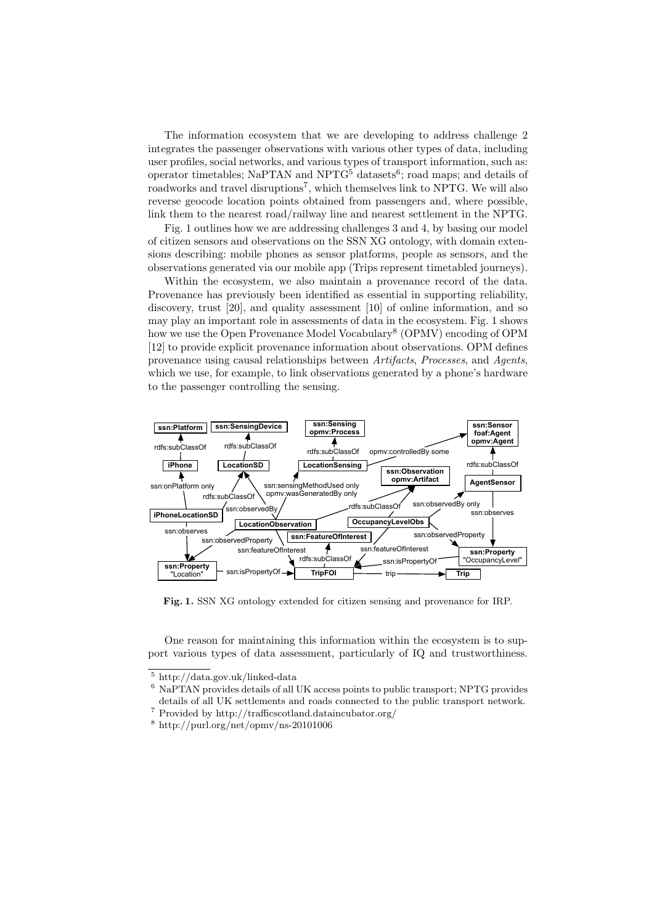The information ecosystem that we are developing to address challenge 2 integrates the passenger observations with various other types of data, including user profiles, social networks, and various types of transport information, such as: operator timetables; NaPTAN and  $NPTG<sup>5</sup>$  datasets<sup>6</sup>; road maps; and details of roadworks and travel disruptions<sup>7</sup>, which themselves link to NPTG. We will also reverse geocode location points obtained from passengers and, where possible, link them to the nearest road/railway line and nearest settlement in the NPTG.

Fig. 1 outlines how we are addressing challenges 3 and 4, by basing our model of citizen sensors and observations on the SSN XG ontology, with domain extensions describing: mobile phones as sensor platforms, people as sensors, and the observations generated via our mobile app (Trips represent timetabled journeys).

Within the ecosystem, we also maintain a provenance record of the data. Provenance has previously been identified as essential in supporting reliability, discovery, trust [20], and quality assessment [10] of online information, and so may play an important role in assessments of data in the ecosystem. Fig. 1 shows how we use the Open Provenance Model Vocabulary<sup>8</sup> (OPMV) encoding of OPM [12] to provide explicit provenance information about observations. OPM defines provenance using causal relationships between *Artifacts*, *Processes*, and *Agents*, which we use, for example, to link observations generated by a phone's hardware to the passenger controlling the sensing.



Fig. 1. SSN XG ontology extended for citizen sensing and provenance for IRP.

One reason for maintaining this information within the ecosystem is to support various types of data assessment, particularly of IQ and trustworthiness.

 $\frac{5 \text{ http://data.gov.uk/linked-data}}{2}$ 

<sup>6</sup> NaPTAN provides details of all UK access points to public transport; NPTG provides details of all UK settlements and roads connected to the public transport network.

 $^7$  Provided by http://trafficscotland.dataincubator.org/  $\,$ 

 $^8$ http://purl.org/net/opmv/ns-20101006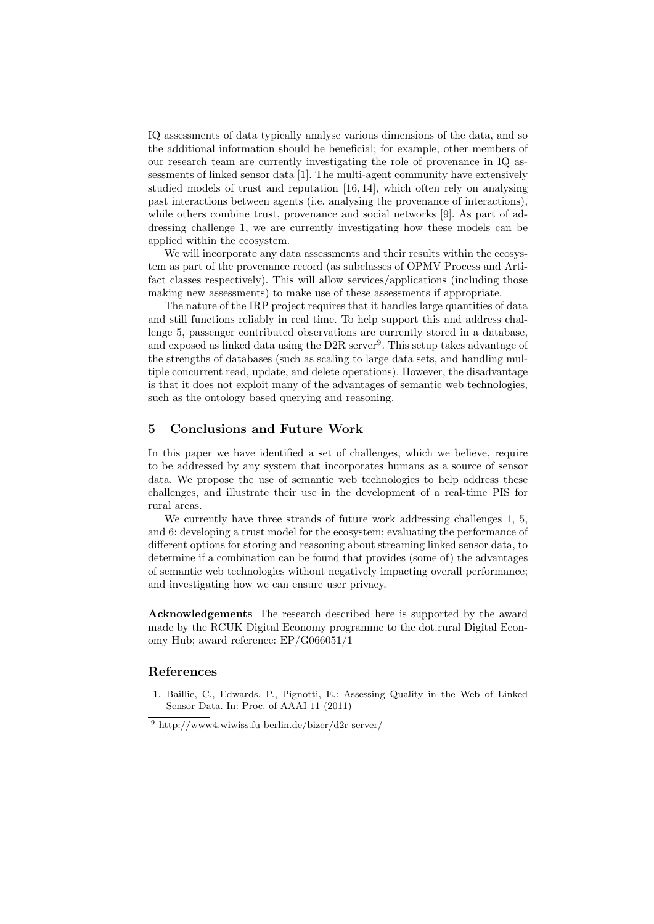IQ assessments of data typically analyse various dimensions of the data, and so the additional information should be beneficial; for example, other members of our research team are currently investigating the role of provenance in IQ assessments of linked sensor data [1]. The multi-agent community have extensively studied models of trust and reputation [16, 14], which often rely on analysing past interactions between agents (i.e. analysing the provenance of interactions), while others combine trust, provenance and social networks [9]. As part of addressing challenge 1, we are currently investigating how these models can be applied within the ecosystem.

We will incorporate any data assessments and their results within the ecosystem as part of the provenance record (as subclasses of OPMV Process and Artifact classes respectively). This will allow services/applications (including those making new assessments) to make use of these assessments if appropriate.

The nature of the IRP project requires that it handles large quantities of data and still functions reliably in real time. To help support this and address challenge 5, passenger contributed observations are currently stored in a database, and exposed as linked data using the  $D2R$  server<sup>9</sup>. This setup takes advantage of the strengths of databases (such as scaling to large data sets, and handling multiple concurrent read, update, and delete operations). However, the disadvantage is that it does not exploit many of the advantages of semantic web technologies, such as the ontology based querying and reasoning.

# 5 Conclusions and Future Work

In this paper we have identified a set of challenges, which we believe, require to be addressed by any system that incorporates humans as a source of sensor data. We propose the use of semantic web technologies to help address these challenges, and illustrate their use in the development of a real-time PIS for rural areas.

We currently have three strands of future work addressing challenges 1, 5, and 6: developing a trust model for the ecosystem; evaluating the performance of different options for storing and reasoning about streaming linked sensor data, to determine if a combination can be found that provides (some of) the advantages of semantic web technologies without negatively impacting overall performance; and investigating how we can ensure user privacy.

Acknowledgements The research described here is supported by the award made by the RCUK Digital Economy programme to the dot.rural Digital Economy Hub; award reference: EP/G066051/1

### References

1. Baillie, C., Edwards, P., Pignotti, E.: Assessing Quality in the Web of Linked Sensor Data. In: Proc. of AAAI-11 (2011)

 $9 \text{ http://www4.wiwiss.fu-berlin.de/bizer/d2r-server/}$